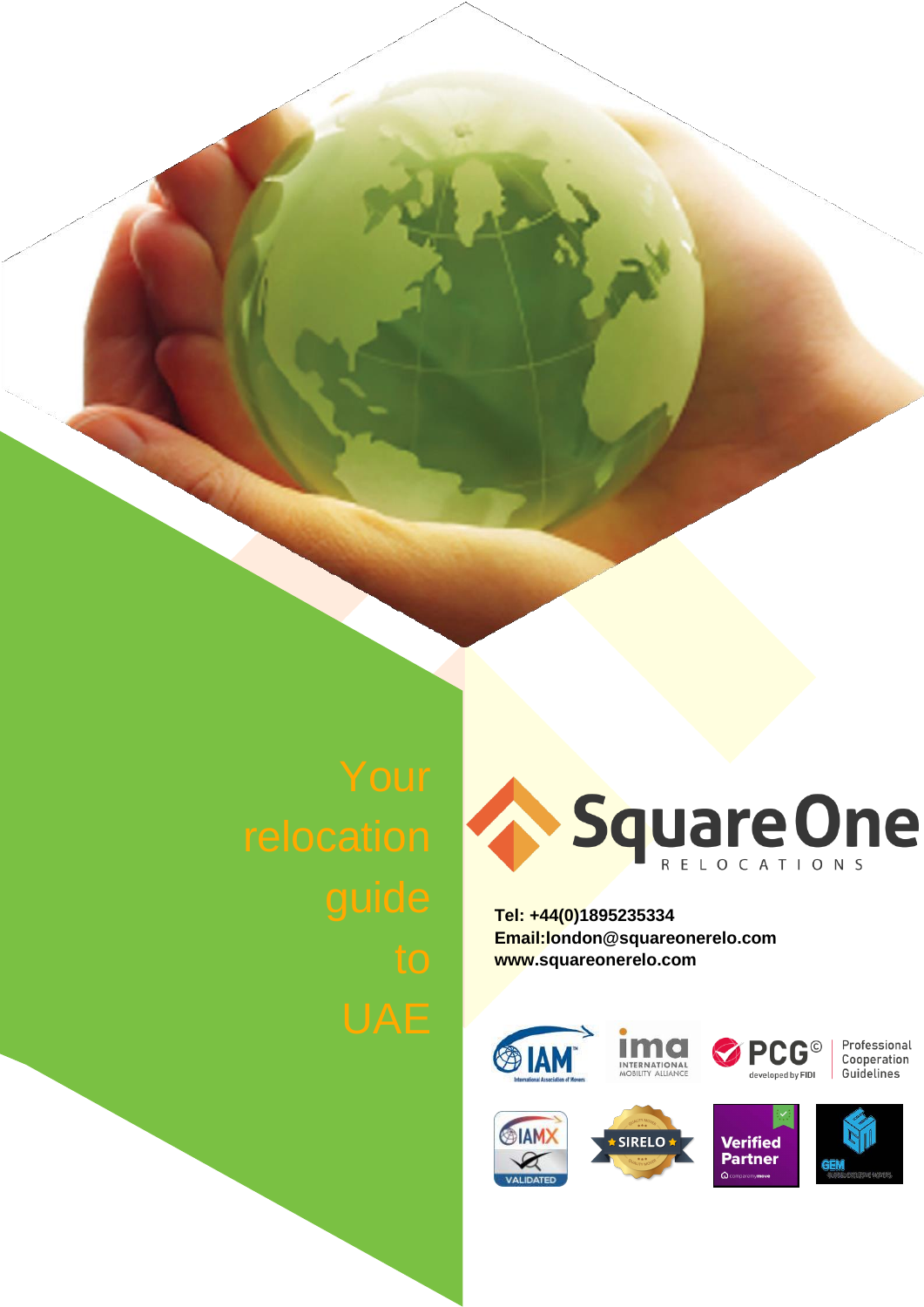

**Tel: +44(0)1895235334 [Email:london@squareonerelo.com](mailto:london@squareonerelo.com) [www.squareonerelo.com](http://www.squareonerelo.com/)**





Professional Cooperation Guidelines

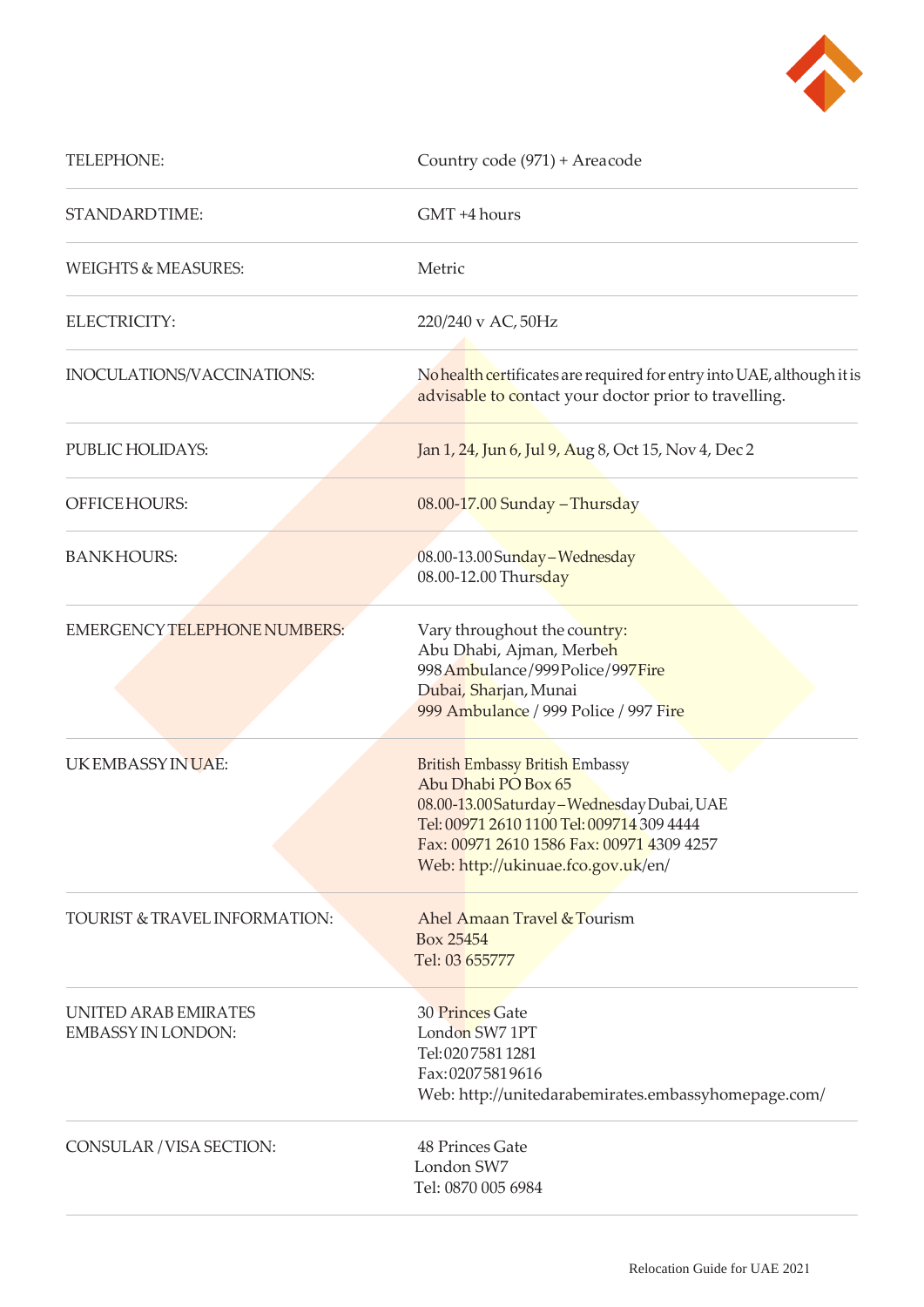

| TELEPHONE:                                        | Country code (971) + Areacode                                                                                                                                                                                                         |
|---------------------------------------------------|---------------------------------------------------------------------------------------------------------------------------------------------------------------------------------------------------------------------------------------|
| STANDARDTIME:                                     | GMT +4 hours                                                                                                                                                                                                                          |
| <b>WEIGHTS &amp; MEASURES:</b>                    | Metric                                                                                                                                                                                                                                |
| ELECTRICITY:                                      | 220/240 v AC, 50Hz                                                                                                                                                                                                                    |
| INOCULATIONS/VACCINATIONS:                        | No health certificates are required for entry into UAE, although it is<br>advisable to contact your doctor prior to travelling.                                                                                                       |
| PUBLIC HOLIDAYS:                                  | Jan 1, 24, Jun 6, Jul 9, Aug 8, Oct 15, Nov 4, Dec 2                                                                                                                                                                                  |
| OFFICE HOURS:                                     | 08.00-17.00 Sunday - Thursday                                                                                                                                                                                                         |
| <b>BANKHOURS:</b>                                 | 08.00-13.00 Sunday - Wednesday<br>08.00-12.00 Thursday                                                                                                                                                                                |
| <b>EMERGENCY TELEPHONE NUMBERS:</b>               | Vary throughout the country:<br>Abu Dhabi, Ajman, Merbeh<br>998 Ambulance/999 Police/997 Fire<br>Dubai, Sharjan, Munai<br>999 Ambulance / 999 Police / 997 Fire                                                                       |
| UKEMBASSYINUAE:                                   | British Embassy British Embassy<br>Abu Dhabi PO Box 65<br>08.00-13.00 Saturday - Wednesday Dubai, UAE<br>Tel: 00971 2610 1100 Tel: 009714 309 4444<br>Fax: 00971 2610 1586 Fax: 00971 4309 4257<br>Web: http://ukinuae.fco.gov.uk/en/ |
| <b>TOURIST &amp; TRAVEL INFORMATION:</b>          | Ahel Amaan Travel & Tourism<br>Box 25454<br>Tel: 03 655777                                                                                                                                                                            |
| UNITED ARAB EMIRATES<br><b>EMBASSY IN LONDON:</b> | 30 Princes Gate<br>London SW7 1PT<br>Tel: 02075811281<br>Fax: 02075819616<br>Web: http://unitedarabemirates.embassyhomepage.com/                                                                                                      |
| CONSULAR / VISA SECTION:                          | 48 Princes Gate<br>London SW7<br>Tel: 0870 005 6984                                                                                                                                                                                   |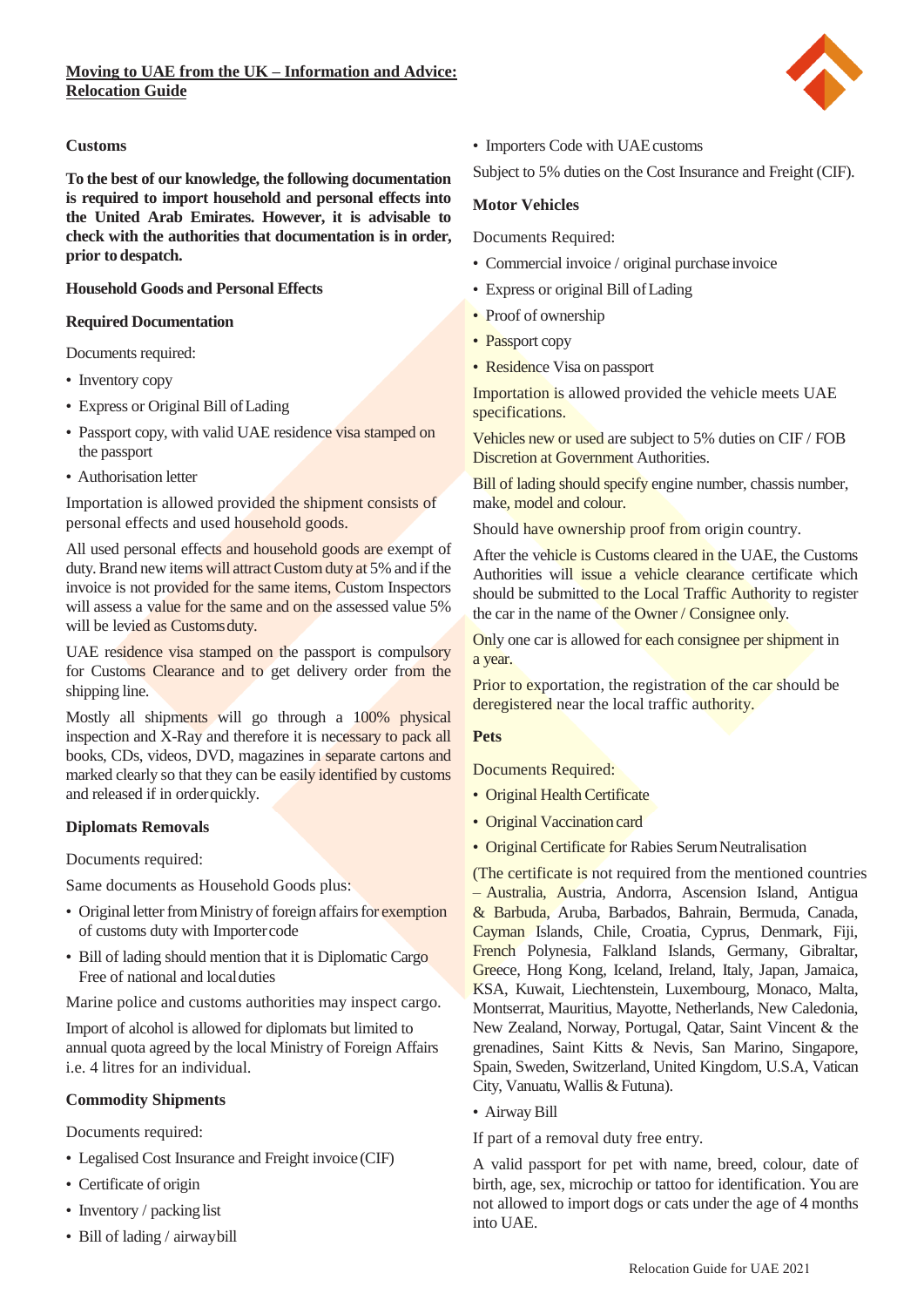

## **Customs**

**To the best of our knowledge, the following documentation is required to import household and personal effects into the United Arab Emirates. However, it is advisable to check with the authorities that documentation is in order, prior to despatch.**

## **Household Goods and Personal Effects**

## **Required Documentation**

Documents required:

- Inventory copy
- Express or Original Bill ofLading
- Passport copy, with valid UAE residence visa stamped on the passport
- Authorisation letter

Importation is allowed provided the shipment consists of personal effects and used household goods.

All used personal effects and household goods are exempt of duty. Brand new items will attract Custom duty at 5% and if the invoice is not provided for the same items, Custom Inspectors will assess a value for the same and on the assessed value 5% will be levied as Customs duty.

UAE residence visa stamped on the passport is compulsory for Customs Clearance and to get delivery order from the shipping line.

Mostly all shipments will go through a 100% physical inspection and X-Ray and therefore it is necessary to pack all books, CDs, videos, DVD, magazines in separate cartons and marked clearly so that they can be easily identified by customs and released if in orderquickly.

# **Diplomats Removals**

Documents required:

Same documents as Household Goods plus:

- Original letter from Ministry of foreign affairs for exemption of customs duty with Importercode
- Bill of lading should mention that it is Diplomatic Cargo Free of national and localduties

Marine police and customs authorities may inspect cargo.

Import of alcohol is allowed for diplomats but limited to annual quota agreed by the local Ministry of Foreign Affairs i.e. 4 litres for an individual.

# **Commodity Shipments**

Documents required:

- Legalised Cost Insurance and Freight invoice(CIF)
- Certificate of origin
- Inventory / packing list
- Bill of lading / airwaybill

• Importers Code with UAEcustoms

Subject to 5% duties on the Cost Insurance and Freight (CIF).

## **Motor Vehicles**

Documents Required:

- Commercial invoice / original purchase invoice
- Express or original Bill ofLading
- Proof of ownership
- Passport copy
- Residence Visa on passport

Importation is allowed provided the vehicle meets UAE specifications.

Vehicles new or used are subject to 5% duties on CIF / FOB Discretion at Government Authorities.

Bill of lading should specify engine number, chassis number, make, model and colour.

Should have ownership proof from origin country.

After the vehicle is Customs cleared in the UAE, the Customs Authorities will issue a vehicle clearance certificate which should be submitted to the Local Traffic Authority to register the car in the name of the Owner / Consignee only.

Only one car is allowed for each consignee per shipment in a year.

Prior to exportation, the registration of the car should be deregistered near the local traffic authority.

## **Pets**

Documents Required:

- Original Health Certificate
- Original Vaccination card
- Original Certificate for Rabies SerumNeutralisation

(The certificate is not required from the mentioned countries – Australia, Austria, Andorra, Ascension Island, Antigua & Barbuda, Aruba, Barbados, Bahrain, Bermuda, Canada, Cayman Islands, Chile, Croatia, Cyprus, Denmark, Fiji, French Polynesia, Falkland Islands, Germany, Gibraltar, Greece, Hong Kong, Iceland, Ireland, Italy, Japan, Jamaica, KSA, Kuwait, Liechtenstein, Luxembourg, Monaco, Malta, Montserrat, Mauritius, Mayotte, Netherlands, New Caledonia, New Zealand, Norway, Portugal, Qatar, Saint Vincent & the grenadines, Saint Kitts & Nevis, San Marino, Singapore, Spain, Sweden, Switzerland, United Kingdom, U.S.A, Vatican City, Vanuatu, Wallis & Futuna).

# • Airway Bill

If part of a removal duty free entry.

A valid passport for pet with name, breed, colour, date of birth, age, sex, microchip or tattoo for identification. You are not allowed to import dogs or cats under the age of 4 months into UAE.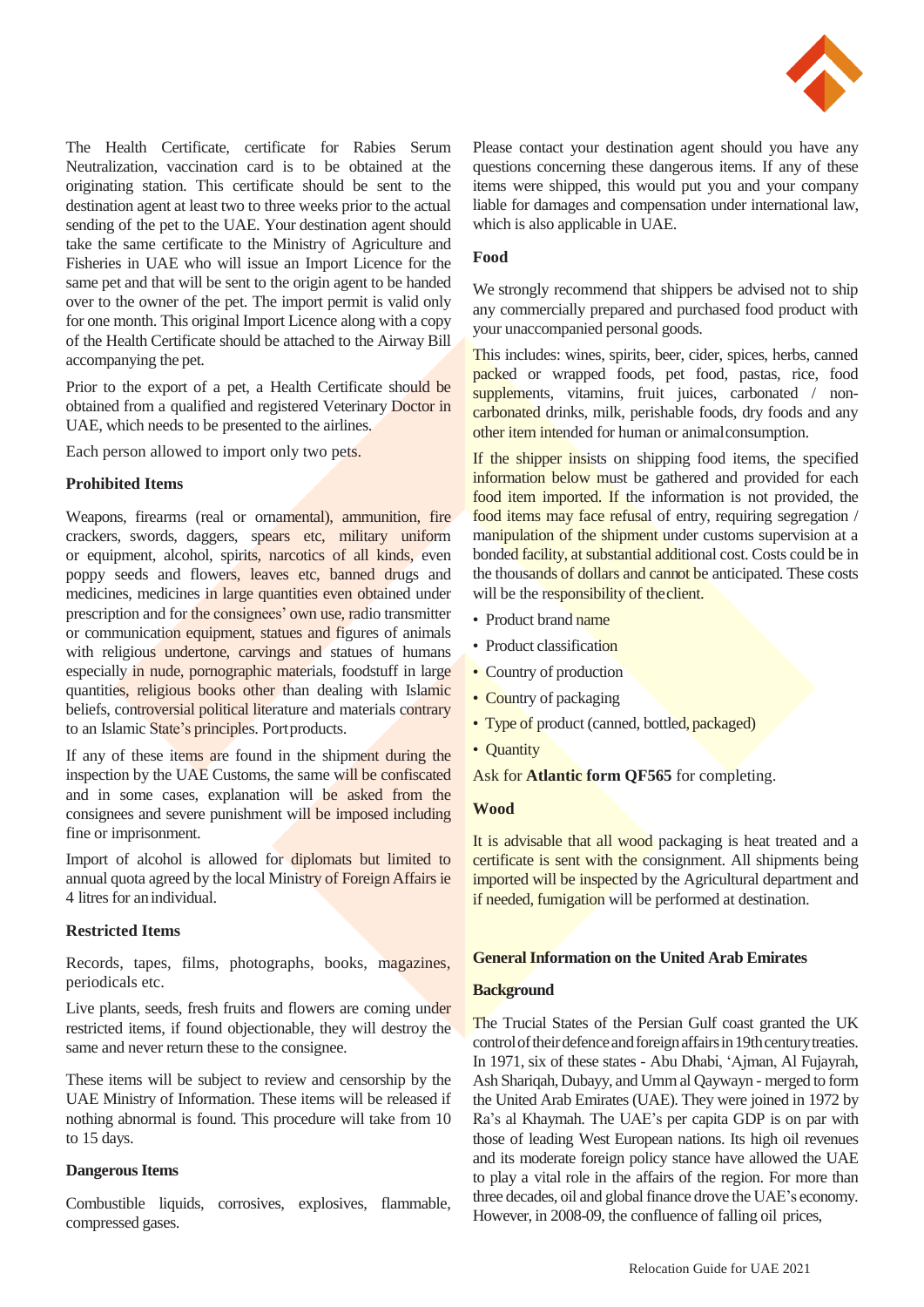

The Health Certificate, certificate for Rabies Serum Neutralization, vaccination card is to be obtained at the originating station. This certificate should be sent to the destination agent at least two to three weeks prior to the actual sending of the pet to the UAE. Your destination agent should take the same certificate to the Ministry of Agriculture and Fisheries in UAE who will issue an Import Licence for the same pet and that will be sent to the origin agent to be handed over to the owner of the pet. The import permit is valid only for one month. This original Import Licence along with a copy of the Health Certificate should be attached to the Airway Bill accompanying the pet.

Prior to the export of a pet, a Health Certificate should be obtained from a qualified and registered Veterinary Doctor in UAE, which needs to be presented to the airlines.

Each person allowed to import only two pets.

## **Prohibited Items**

Weapons, firearms (real or ornamental), ammunition, fire crackers, swords, daggers, spears etc, military uniform or equipment, alcohol, spirits, narcotics of all kinds, even poppy seeds and flowers, leaves etc, banned drugs and medicines, medicines in large quantities even obtained under prescription and for the consignees' own use, radio transmitter or communication equipment, statues and figures of animals with religious undertone, carvings and statues of humans especially in nude, pornographic materials, foodstuff in large quantities, religious books other than dealing with Islamic beliefs, controversial political literature and materials contrary to an Islamic State's principles. Portproducts.

If any of these items are found in the shipment during the inspection by the UAE Customs, the same will be confiscated and in some cases, explanation will be asked from the consignees and severe punishment will be imposed including fine or imprisonment.

Import of alcohol is allowed for diplomats but limited to annual quota agreed by the local Ministry of Foreign Affairs ie 4 litres for anindividual.

## **Restricted Items**

Records, tapes, films, photographs, books, magazines, periodicals etc.

Live plants, seeds, fresh fruits and flowers are coming under restricted items, if found objectionable, they will destroy the same and never return these to the consignee.

These items will be subject to review and censorship by the UAE Ministry of Information. These items will be released if nothing abnormal is found. This procedure will take from 10 to 15 days.

## **Dangerous Items**

Combustible liquids, corrosives, explosives, flammable, compressed gases.

Please contact your destination agent should you have any questions concerning these dangerous items. If any of these items were shipped, this would put you and your company liable for damages and compensation under international law, which is also applicable in UAE.

## **Food**

We strongly recommend that shippers be advised not to ship any commercially prepared and purchased food product with your unaccompanied personal goods.

This includes: wines, spirits, beer, cider, spices, herbs, canned packed or wrapped foods, pet food, pastas, rice, food supplements, vitamins, fruit juices, carbonated / noncarbonated drinks, milk, perishable foods, dry foods and any other item intended for human or animalconsumption.

If the shipper insists on shipping food items, the specified information below must be gathered and provided for each food item imported. If the information is not provided, the food items may face refusal of entry, requiring segregation / manipulation of the shipment under customs supervision at a bonded facility, at substantial additional cost. Costs could be in the thousands of dollars and cannot be anticipated. These costs will be the responsibility of the client.

- Product brand name
- Product classification
- Country of production
- Country of packaging
- Type of product (canned, bottled, packaged)
- Quantity
- Ask for **Atlantic form QF565** for completing.

## **Wood**

It is advisable that all wood packaging is heat treated and a certificate is sent with the consignment. All shipments being imported will be inspected by the Agricultural department and if needed, fumigation will be performed at destination.

## **General Information on the United Arab Emirates**

#### **Background**

The Trucial States of the Persian Gulf coast granted the UK control of their defence and foreign affairs in 19th century treaties. In 1971, six of these states - Abu Dhabi, 'Ajman, Al Fujayrah, Ash Shariqah, Dubayy, and Umm al Qaywayn - merged to form the United Arab Emirates (UAE). They were joined in 1972 by Ra's al Khaymah. The UAE's per capita GDP is on par with those of leading West European nations. Its high oil revenues and its moderate foreign policy stance have allowed the UAE to play a vital role in the affairs of the region. For more than three decades, oil and global finance drove the UAE's economy. However, in 2008-09, the confluence of falling oil prices,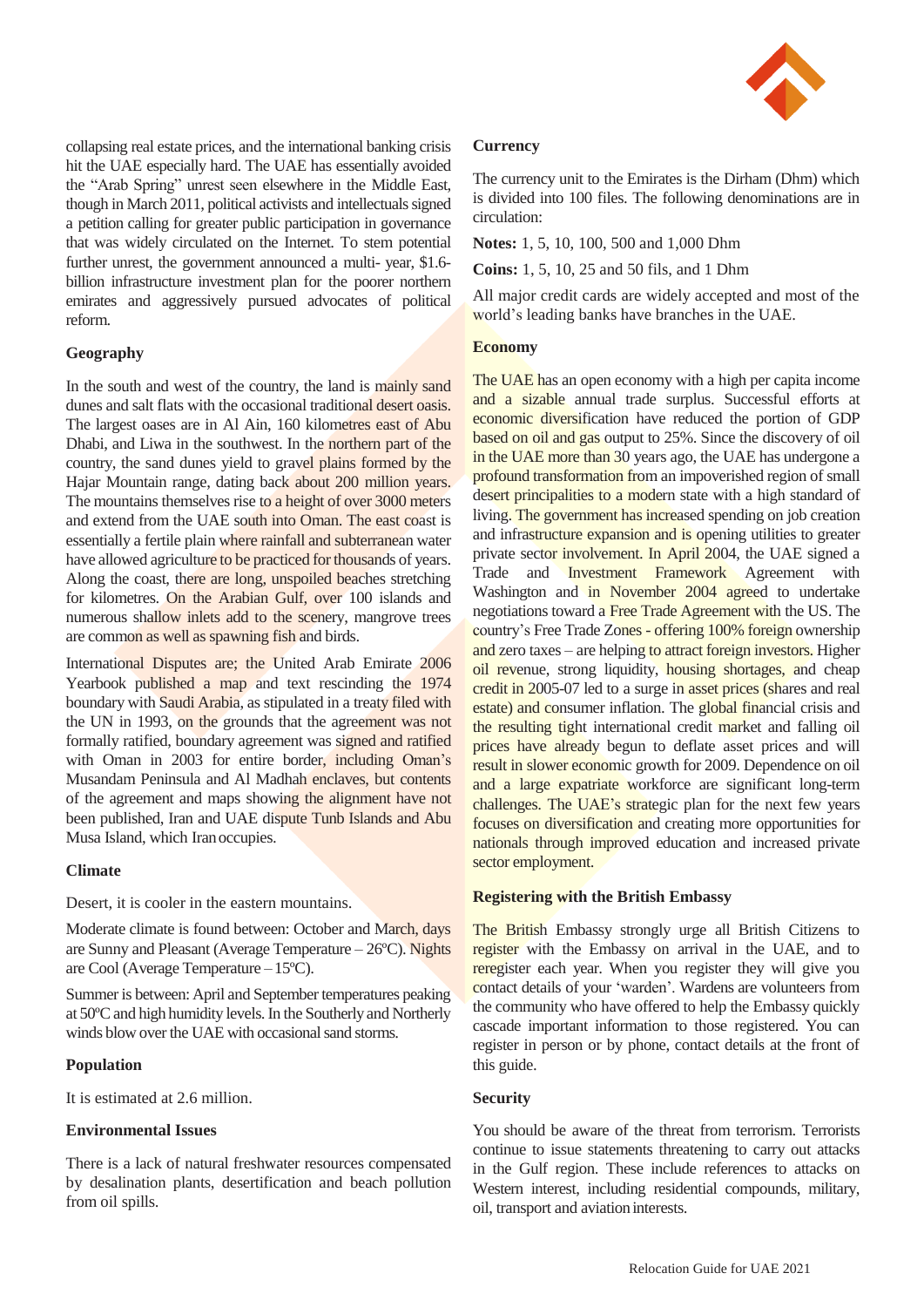

collapsing real estate prices, and the international banking crisis hit the UAE especially hard. The UAE has essentially avoided the "Arab Spring" unrest seen elsewhere in the Middle East, though in March 2011, political activists and intellectuals signed a petition calling for greater public participation in governance that was widely circulated on the Internet. To stem potential further unrest, the government announced a multi- year, \$1.6 billion infrastructure investment plan for the poorer northern emirates and aggressively pursued advocates of political reform.

### **Geography**

In the south and west of the country, the land is mainly sand dunes and salt flats with the occasional traditional desert oasis. The largest oases are in Al Ain, 160 kilometres east of Abu Dhabi, and Liwa in the southwest. In the northern part of the country, the sand dunes yield to gravel plains formed by the Hajar Mountain range, dating back about 200 million years. The mountains themselves rise to a height of over 3000 meters and extend from the UAE south into Oman. The east coast is essentially a fertile plain where rainfall and subterranean water have allowed agriculture to be practiced for thousands of years. Along the coast, there are long, unspoiled beaches stretching for kilometres. On the Arabian Gulf, over 100 islands and numerous shallow inlets add to the scenery, mangrove trees are common as well as spawning fish and birds.

International Disputes are; the United Arab Emirate 2006 Yearbook published a map and text rescinding the 1974 boundary with Saudi Arabia, as stipulated in a treaty filed with the UN in 1993, on the grounds that the agreement was not formally ratified, boundary agreement was signed and ratified with Oman in 2003 for entire border, including Oman's Musandam Peninsula and Al Madhah enclaves, but contents of the agreement and maps showing the alignment have not been published, Iran and UAE dispute Tunb Islands and Abu Musa Island, which Iranoccupies.

#### **Climate**

Desert, it is cooler in the eastern mountains.

Moderate climate is found between: October and March, days are Sunny and Pleasant (Average Temperature – 26ºC). Nights are Cool (Average Temperature –15ºC).

Summer is between: April and September temperatures peaking at 50°C and high humidity levels. In the Southerly and Northerly winds blow over the UAE with occasional sand storms.

#### **Population**

It is estimated at 2.6 million.

#### **Environmental Issues**

There is a lack of natural freshwater resources compensated by desalination plants, desertification and beach pollution from oil spills.

#### **Currency**

The currency unit to the Emirates is the Dirham (Dhm) which is divided into 100 files. The following denominations are in circulation:

**Notes:** 1, 5, 10, 100, 500 and 1,000 Dhm

**Coins:** 1, 5, 10, 25 and 50 fils, and 1 Dhm

All major credit cards are widely accepted and most of the world's leading banks have branches in the UAE.

#### **Economy**

The UAE has an open economy with a high per capita income and a sizable annual trade surplus. Successful efforts at economic diversification have reduced the portion of GDP based on oil and gas output to 25%. Since the discovery of oil in the UAE more than 30 years ago, the UAE has undergone a profound transformation from an impoverished region of small desert principalities to a modern state with a high standard of living. The government has increased spending on job creation and infrastructure expansion and is opening utilities to greater private sector involvement. In April 2004, the UAE signed a Trade and **Investment Framework** Agreement with Washington and in November 2004 agreed to undertake negotiations toward a Free Trade Agreement with the US. The country's Free Trade Zones - offering 100% foreign ownership and zero taxes – are helping to attract foreign investors. Higher oil revenue, strong liquidity, housing shortages, and cheap credit in 2005-07 led to a surge in asset prices (shares and real estate) and consumer inflation. The global financial crisis and the resulting tight international credit market and falling oil prices have already begun to deflate asset prices and will result in slower economic growth for 2009. Dependence on oil and a large expatriate workforce are significant long-term challenges. The UAE's strategic plan for the next few years focuses on diversification and creating more opportunities for nationals through improved education and increased private sector employment.

#### **Registering with the British Embassy**

The British Embassy strongly urge all British Citizens to register with the Embassy on arrival in the UAE, and to reregister each year. When you register they will give you contact details of your 'warden'. Wardens are volunteers from the community who have offered to help the Embassy quickly cascade important information to those registered. You can register in person or by phone, contact details at the front of this guide.

#### **Security**

You should be aware of the threat from terrorism. Terrorists continue to issue statements threatening to carry out attacks in the Gulf region. These include references to attacks on Western interest, including residential compounds, military, oil, transport and aviation interests.